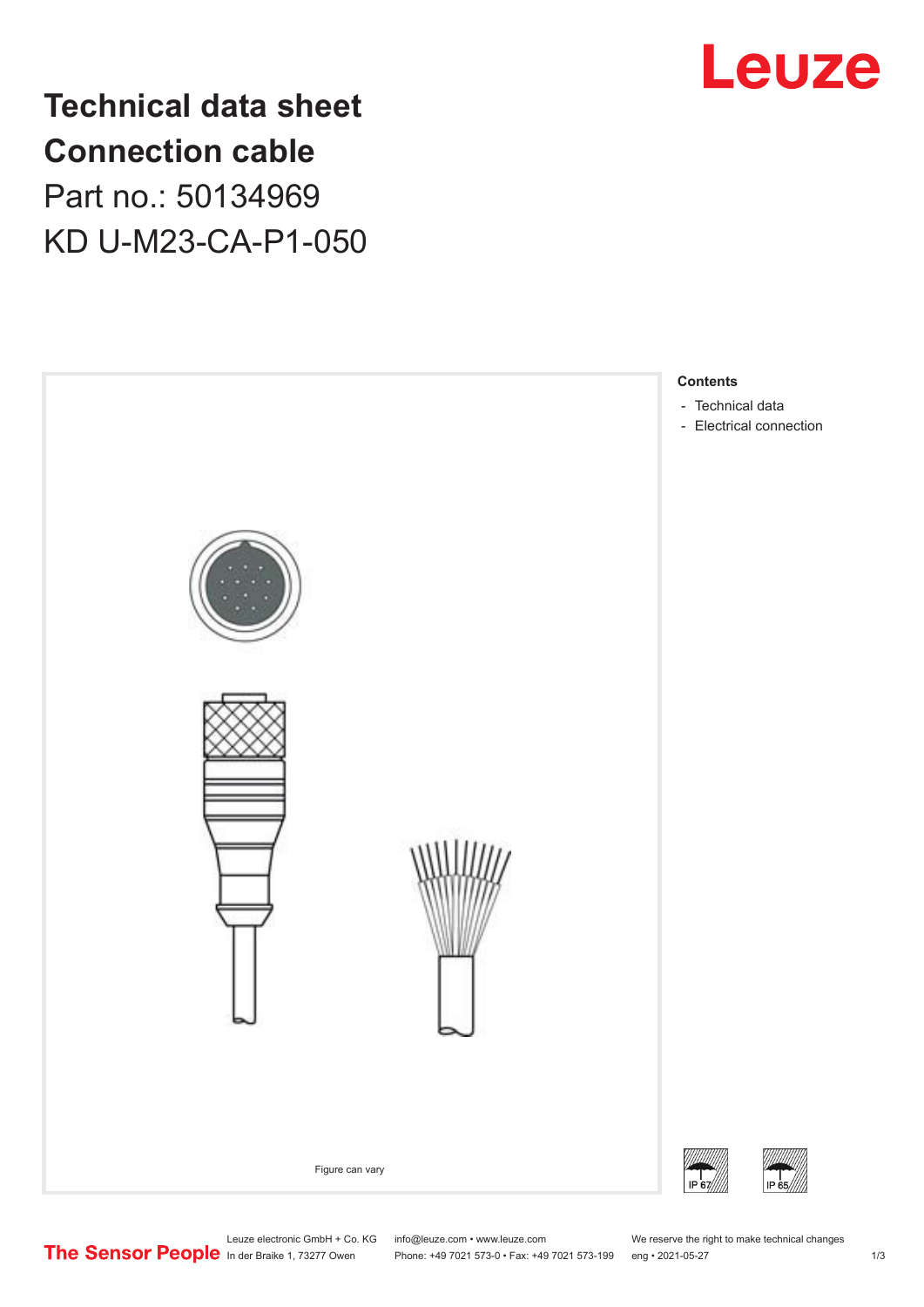

**Technical data sheet Connection cable** Part no.: 50134969 KD U-M23-CA-P1-050



Leuze electronic GmbH + Co. KG info@leuze.com • www.leuze.com We reserve the right to make technical changes

In der Braike 1, 73277 Owen Phone: +49 7021 573-0 • Fax: +49 7021 573-199 eng • 2021-05-27 1 /3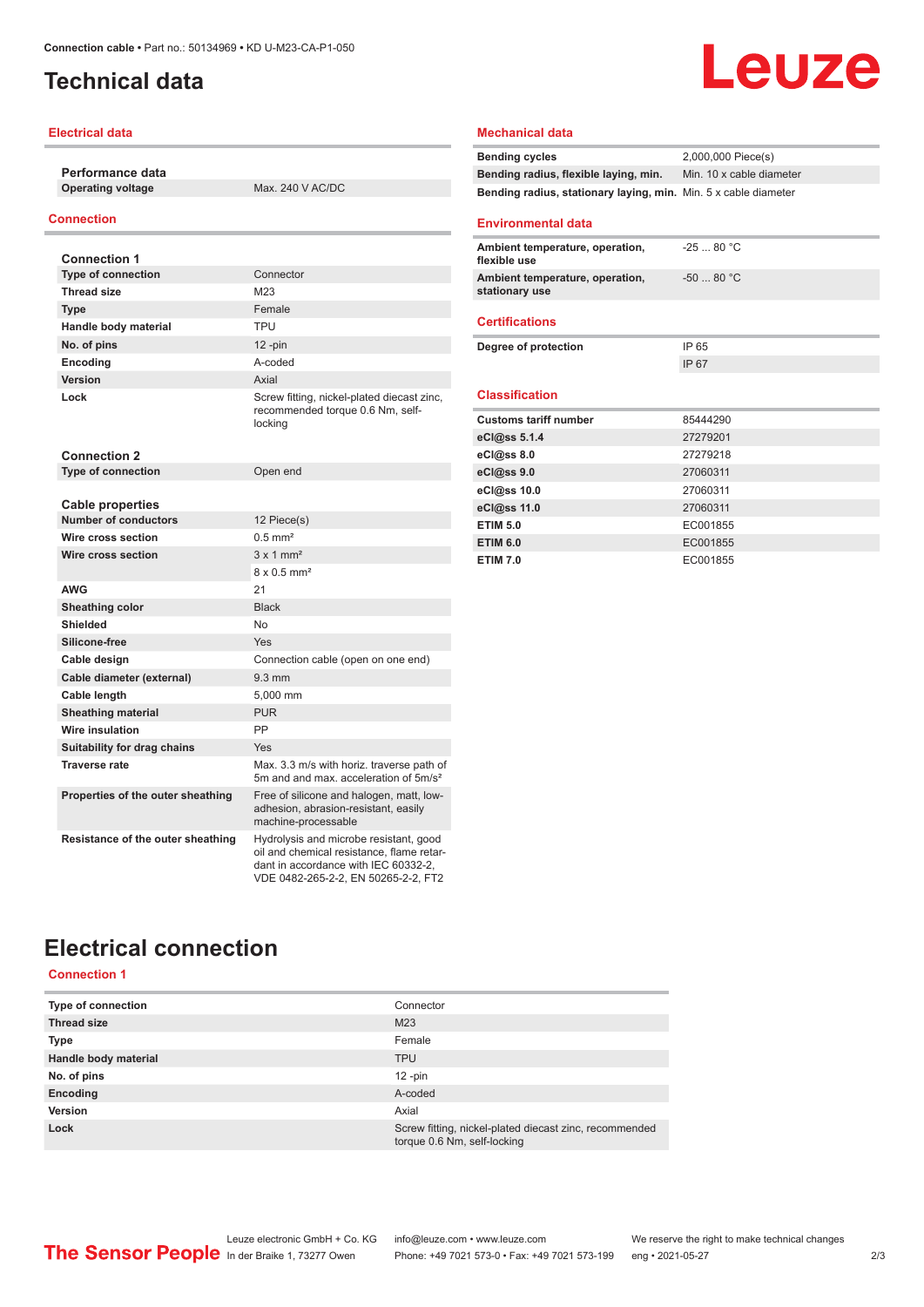# <span id="page-1-0"></span>**Technical data**

### **Electrical data**

**Performance data Operating voltage** Max. 240 V AC/DC

## **Connection**

| <b>Connection 1</b>               |                                                                                                                                                                    |
|-----------------------------------|--------------------------------------------------------------------------------------------------------------------------------------------------------------------|
| <b>Type of connection</b>         | Connector                                                                                                                                                          |
| <b>Thread size</b>                | M23                                                                                                                                                                |
| <b>Type</b>                       | Female                                                                                                                                                             |
| Handle body material              | <b>TPU</b>                                                                                                                                                         |
| No. of pins                       | $12$ -pin                                                                                                                                                          |
| Encoding                          | A-coded                                                                                                                                                            |
| <b>Version</b>                    | Axial                                                                                                                                                              |
| Lock                              | Screw fitting, nickel-plated diecast zinc,<br>recommended torque 0.6 Nm, self-<br>locking                                                                          |
| <b>Connection 2</b>               |                                                                                                                                                                    |
| <b>Type of connection</b>         | Open end                                                                                                                                                           |
|                                   |                                                                                                                                                                    |
| <b>Cable properties</b>           |                                                                                                                                                                    |
| <b>Number of conductors</b>       | 12 Piece(s)                                                                                                                                                        |
| Wire cross section                | $0.5$ mm <sup>2</sup>                                                                                                                                              |
| Wire cross section                | $3 \times 1$ mm <sup>2</sup>                                                                                                                                       |
|                                   | $8 \times 0.5$ mm <sup>2</sup>                                                                                                                                     |
| <b>AWG</b>                        | 21                                                                                                                                                                 |
| Sheathing color                   | <b>Black</b>                                                                                                                                                       |
| Shielded                          | <b>No</b>                                                                                                                                                          |
| Silicone-free                     | Yes                                                                                                                                                                |
| Cable design                      | Connection cable (open on one end)                                                                                                                                 |
| Cable diameter (external)         | $9.3 \text{ mm}$                                                                                                                                                   |
| Cable length                      | 5,000 mm                                                                                                                                                           |
| <b>Sheathing material</b>         | <b>PUR</b>                                                                                                                                                         |
| <b>Wire insulation</b>            | PP                                                                                                                                                                 |
| Suitability for drag chains       | Yes                                                                                                                                                                |
| <b>Traverse rate</b>              | Max. 3.3 m/s with horiz. traverse path of<br>5m and and max, acceleration of 5m/s <sup>2</sup>                                                                     |
| Properties of the outer sheathing | Free of silicone and halogen, matt, low-<br>adhesion, abrasion-resistant, easily<br>machine-processable                                                            |
| Resistance of the outer sheathing | Hydrolysis and microbe resistant, good<br>oil and chemical resistance. flame retar-<br>dant in accordance with IEC 60332-2,<br>VDE 0482-265-2-2, EN 50265-2-2, FT2 |

# Leuze

#### **Mechanical data**

| <b>Bending cycles</b>                                           | 2,000,000 Piece(s)       |
|-----------------------------------------------------------------|--------------------------|
| Bending radius, flexible laying, min.                           | Min. 10 x cable diameter |
| Bending radius, stationary laying, min. Min. 5 x cable diameter |                          |
|                                                                 |                          |

### **Environmental data**

| Ambient temperature, operation,<br>flexible use   | $-2580 °C$  |
|---------------------------------------------------|-------------|
| Ambient temperature, operation,<br>stationary use | $-50$ 80 °C |
| <b>Certifications</b>                             |             |
| Degree of protection                              | IP 65       |
|                                                   | IP 67       |
| <b>Classification</b>                             |             |
|                                                   |             |
| <b>Customs tariff number</b>                      | 85444290    |
| eCl@ss 5.1.4                                      | 27279201    |
| eCl@ss 8.0                                        | 27279218    |
| eCl@ss 9.0                                        | 27060311    |
| eCl@ss 10.0                                       | 27060311    |
| eCl@ss 11.0                                       | 27060311    |
| <b>ETIM 5.0</b>                                   | EC001855    |
| <b>ETIM 6.0</b>                                   | EC001855    |

# **Electrical connection**

**Connection 1**

| <b>Type of connection</b> | Connector                                                                             |
|---------------------------|---------------------------------------------------------------------------------------|
| <b>Thread size</b>        | M <sub>23</sub>                                                                       |
| <b>Type</b>               | Female                                                                                |
| Handle body material      | <b>TPU</b>                                                                            |
| No. of pins               | $12 - pin$                                                                            |
| Encoding                  | A-coded                                                                               |
| Version                   | Axial                                                                                 |
| Lock                      | Screw fitting, nickel-plated diecast zinc, recommended<br>torque 0.6 Nm, self-locking |